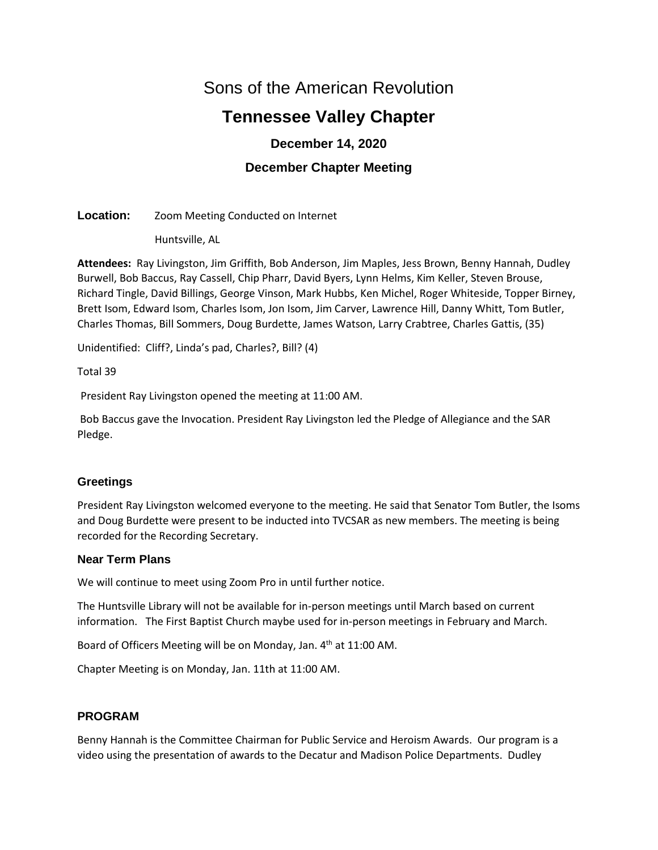# Sons of the American Revolution

# **Tennessee Valley Chapter**

## **December 14, 2020**

## **December Chapter Meeting**

**Location:** Zoom Meeting Conducted on Internet

Huntsville, AL

**Attendees:** Ray Livingston, Jim Griffith, Bob Anderson, Jim Maples, Jess Brown, Benny Hannah, Dudley Burwell, Bob Baccus, Ray Cassell, Chip Pharr, David Byers, Lynn Helms, Kim Keller, Steven Brouse, Richard Tingle, David Billings, George Vinson, Mark Hubbs, Ken Michel, Roger Whiteside, Topper Birney, Brett Isom, Edward Isom, Charles Isom, Jon Isom, Jim Carver, Lawrence Hill, Danny Whitt, Tom Butler, Charles Thomas, Bill Sommers, Doug Burdette, James Watson, Larry Crabtree, Charles Gattis, (35)

Unidentified: Cliff?, Linda's pad, Charles?, Bill? (4)

Total 39

President Ray Livingston opened the meeting at 11:00 AM.

Bob Baccus gave the Invocation. President Ray Livingston led the Pledge of Allegiance and the SAR Pledge.

## **Greetings**

President Ray Livingston welcomed everyone to the meeting. He said that Senator Tom Butler, the Isoms and Doug Burdette were present to be inducted into TVCSAR as new members. The meeting is being recorded for the Recording Secretary.

## **Near Term Plans**

We will continue to meet using Zoom Pro in until further notice.

The Huntsville Library will not be available for in-person meetings until March based on current information. The First Baptist Church maybe used for in-person meetings in February and March.

Board of Officers Meeting will be on Monday, Jan. 4<sup>th</sup> at 11:00 AM.

Chapter Meeting is on Monday, Jan. 11th at 11:00 AM.

## **PROGRAM**

Benny Hannah is the Committee Chairman for Public Service and Heroism Awards. Our program is a video using the presentation of awards to the Decatur and Madison Police Departments. Dudley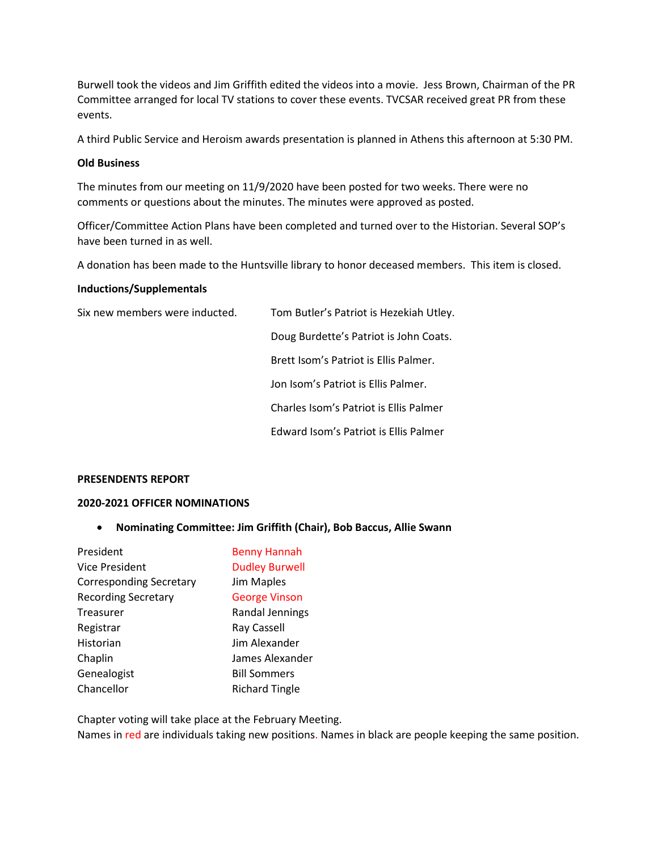Burwell took the videos and Jim Griffith edited the videos into a movie. Jess Brown, Chairman of the PR Committee arranged for local TV stations to cover these events. TVCSAR received great PR from these events.

A third Public Service and Heroism awards presentation is planned in Athens this afternoon at 5:30 PM.

#### **Old Business**

The minutes from our meeting on 11/9/2020 have been posted for two weeks. There were no comments or questions about the minutes. The minutes were approved as posted.

Officer/Committee Action Plans have been completed and turned over to the Historian. Several SOP's have been turned in as well.

A donation has been made to the Huntsville library to honor deceased members. This item is closed.

#### **Inductions/Supplementals**

| Six new members were inducted. | Tom Bu |
|--------------------------------|--------|
|                                |        |

tler's Patriot is Hezekiah Utley.

Doug Burdette's Patriot is John Coats.

Brett Isom's Patriot is Ellis Palmer.

Jon Isom's Patriot is Ellis Palmer.

Charles Isom's Patriot is Ellis Palmer

Edward Isom's Patriot is Ellis Palmer

#### **PRESENDENTS REPORT**

#### **2020-2021 OFFICER NOMINATIONS**

• **Nominating Committee: Jim Griffith (Chair), Bob Baccus, Allie Swann**

| President                      | <b>Benny Hannah</b>   |
|--------------------------------|-----------------------|
| Vice President                 | <b>Dudley Burwell</b> |
| <b>Corresponding Secretary</b> | Jim Maples            |
| <b>Recording Secretary</b>     | <b>George Vinson</b>  |
| Treasurer                      | Randal Jennings       |
| Registrar                      | <b>Ray Cassell</b>    |
| Historian                      | Jim Alexander         |
| Chaplin                        | James Alexander       |
| Genealogist                    | <b>Bill Sommers</b>   |
| Chancellor                     | <b>Richard Tingle</b> |

Chapter voting will take place at the February Meeting.

Names in red are individuals taking new positions. Names in black are people keeping the same position.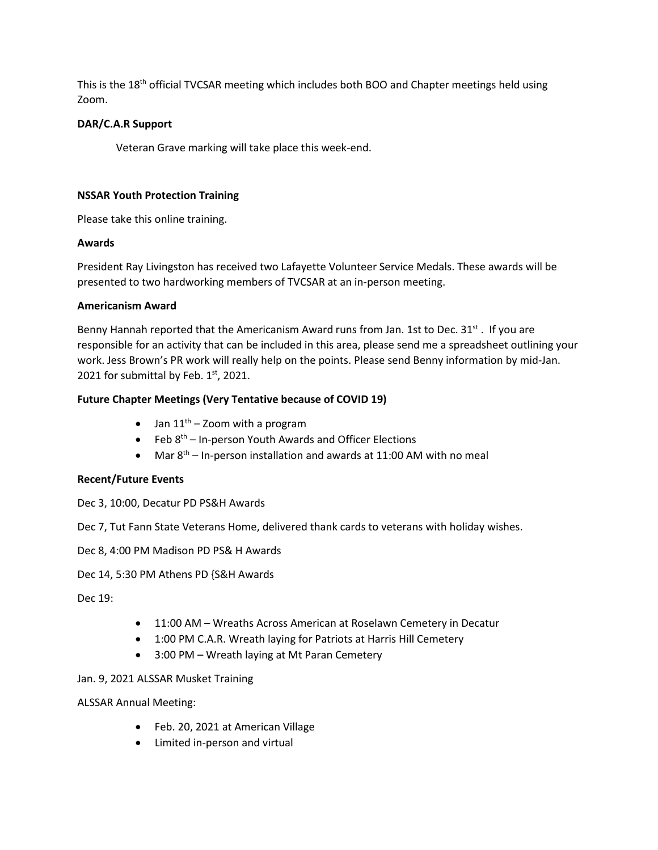This is the 18<sup>th</sup> official TVCSAR meeting which includes both BOO and Chapter meetings held using Zoom.

## **DAR/C.A.R Support**

Veteran Grave marking will take place this week-end.

## **NSSAR Youth Protection Training**

Please take this online training.

## **Awards**

President Ray Livingston has received two Lafayette Volunteer Service Medals. These awards will be presented to two hardworking members of TVCSAR at an in-person meeting.

## **Americanism Award**

Benny Hannah reported that the Americanism Award runs from Jan. 1st to Dec.  $31^{st}$ . If you are responsible for an activity that can be included in this area, please send me a spreadsheet outlining your work. Jess Brown's PR work will really help on the points. Please send Benny information by mid-Jan. 2021 for submittal by Feb.  $1<sup>st</sup>$ , 2021.

## **Future Chapter Meetings (Very Tentative because of COVID 19)**

- Jan  $11^{th}$  Zoom with a program
- Feb  $8<sup>th</sup>$  In-person Youth Awards and Officer Elections
- Mar  $8<sup>th</sup>$  In-person installation and awards at 11:00 AM with no meal

## **Recent/Future Events**

- Dec 3, 10:00, Decatur PD PS&H Awards
- Dec 7, Tut Fann State Veterans Home, delivered thank cards to veterans with holiday wishes.
- Dec 8, 4:00 PM Madison PD PS& H Awards

Dec 14, 5:30 PM Athens PD {S&H Awards

Dec 19:

- 11:00 AM Wreaths Across American at Roselawn Cemetery in Decatur
- 1:00 PM C.A.R. Wreath laying for Patriots at Harris Hill Cemetery
- 3:00 PM Wreath laying at Mt Paran Cemetery

## Jan. 9, 2021 ALSSAR Musket Training

ALSSAR Annual Meeting:

- Feb. 20, 2021 at American Village
- Limited in-person and virtual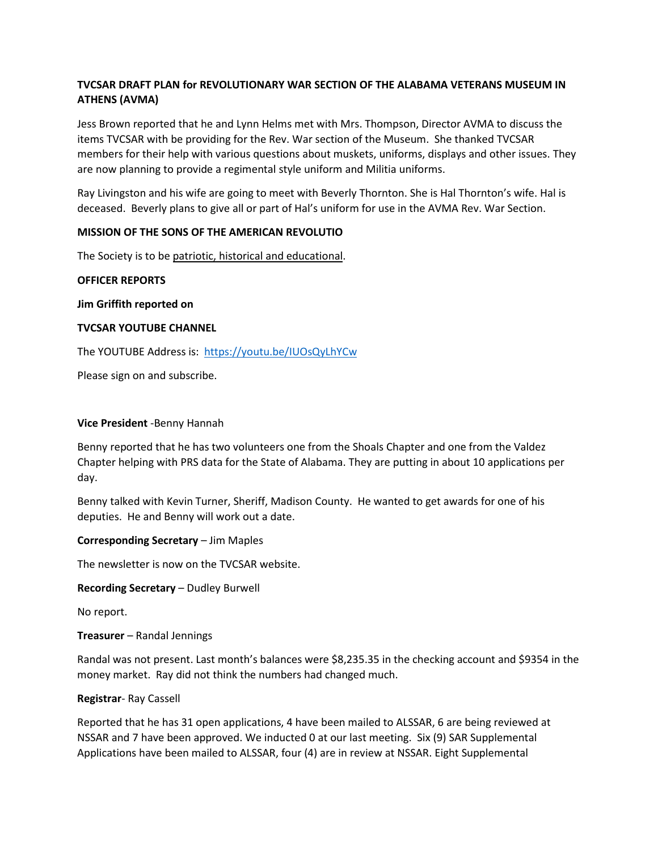## **TVCSAR DRAFT PLAN for REVOLUTIONARY WAR SECTION OF THE ALABAMA VETERANS MUSEUM IN ATHENS (AVMA)**

Jess Brown reported that he and Lynn Helms met with Mrs. Thompson, Director AVMA to discuss the items TVCSAR with be providing for the Rev. War section of the Museum. She thanked TVCSAR members for their help with various questions about muskets, uniforms, displays and other issues. They are now planning to provide a regimental style uniform and Militia uniforms.

Ray Livingston and his wife are going to meet with Beverly Thornton. She is Hal Thornton's wife. Hal is deceased. Beverly plans to give all or part of Hal's uniform for use in the AVMA Rev. War Section.

#### **MISSION OF THE SONS OF THE AMERICAN REVOLUTIO**

The Society is to be patriotic, historical and educational.

#### **OFFICER REPORTS**

**Jim Griffith reported on** 

#### **TVCSAR YOUTUBE CHANNEL**

The YOUTUBE Address is: [https://youtu.be/IUOsQyLhYCw](about:blank)

Please sign on and subscribe.

#### **Vice President** -Benny Hannah

Benny reported that he has two volunteers one from the Shoals Chapter and one from the Valdez Chapter helping with PRS data for the State of Alabama. They are putting in about 10 applications per day.

Benny talked with Kevin Turner, Sheriff, Madison County. He wanted to get awards for one of his deputies. He and Benny will work out a date.

**Corresponding Secretary** – Jim Maples

The newsletter is now on the TVCSAR website.

**Recording Secretary** – Dudley Burwell

No report.

**Treasurer** – Randal Jennings

Randal was not present. Last month's balances were \$8,235.35 in the checking account and \$9354 in the money market. Ray did not think the numbers had changed much.

#### **Registrar**- Ray Cassell

Reported that he has 31 open applications, 4 have been mailed to ALSSAR, 6 are being reviewed at NSSAR and 7 have been approved. We inducted 0 at our last meeting. Six (9) SAR Supplemental Applications have been mailed to ALSSAR, four (4) are in review at NSSAR. Eight Supplemental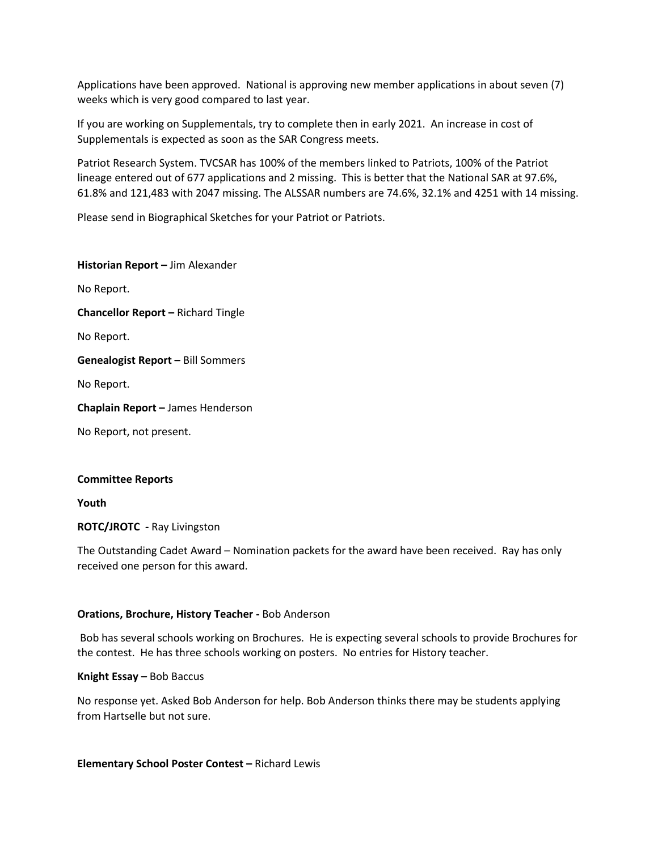Applications have been approved. National is approving new member applications in about seven (7) weeks which is very good compared to last year.

If you are working on Supplementals, try to complete then in early 2021. An increase in cost of Supplementals is expected as soon as the SAR Congress meets.

Patriot Research System. TVCSAR has 100% of the members linked to Patriots, 100% of the Patriot lineage entered out of 677 applications and 2 missing. This is better that the National SAR at 97.6%, 61.8% and 121,483 with 2047 missing. The ALSSAR numbers are 74.6%, 32.1% and 4251 with 14 missing.

Please send in Biographical Sketches for your Patriot or Patriots.

**Historian Report –** Jim Alexander No Report. **Chancellor Report –** Richard Tingle No Report. **Genealogist Report –** Bill Sommers No Report. **Chaplain Report –** James Henderson No Report, not present.

#### **Committee Reports**

**Youth**

**ROTC/JROTC -** Ray Livingston

The Outstanding Cadet Award – Nomination packets for the award have been received. Ray has only received one person for this award.

#### **Orations, Brochure, History Teacher -** Bob Anderson

Bob has several schools working on Brochures. He is expecting several schools to provide Brochures for the contest. He has three schools working on posters. No entries for History teacher.

**Knight Essay –** Bob Baccus

No response yet. Asked Bob Anderson for help. Bob Anderson thinks there may be students applying from Hartselle but not sure.

**Elementary School Poster Contest –** Richard Lewis